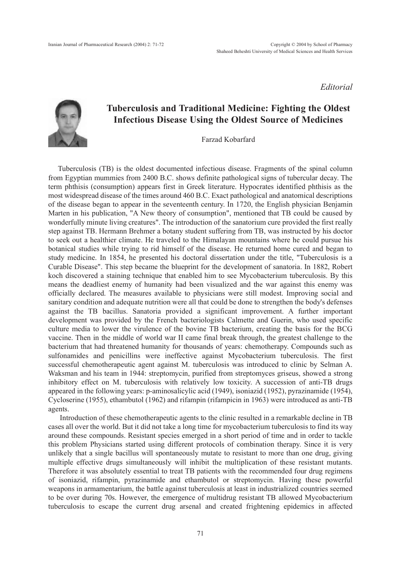*Editorial*



## Tuberculosis and Traditional Medicine: Fighting the Oldest Infectious Disease Using the Oldest Source of Medicines

Farzad Kobarfard

Tuberculosis (TB) is the oldest documented infectious disease. Fragments of the spinal column from Egyptian mummies from 2400 B.C. shows definite pathological signs of tubercular decay. The term phthisis (consumption) appears first in Greek literature. Hypocrates identified phthisis as the most widespread disease of the times around 460 B.C. Exact pathological and anatomical descriptions of the disease began to appear in the seventeenth century. In 1720, the English physician Benjamin Marten in his publication, "A New theory of consumption", mentioned that TB could be caused by wonderfully minute living creatures". The introduction of the sanatorium cure provided the first really step against TB. Hermann Brehmer a botany student suffering from TB, was instructed by his doctor to seek out a healthier climate. He traveled to the Himalayan mountains where he could pursue his botanical studies while trying to rid himself of the disease. He returned home cured and began to study medicine. In 1854, he presented his doctoral dissertation under the title, "Tuberculosis is a Curable Disease". This step became the blueprint for the development of sanatoria. In 1882, Robert koch discovered a staining technique that enabled him to see Mycobacterium tuberculosis. By this means the deadliest enemy of humanity had been visualized and the war against this enemy was officially declared. The measures available to physicians were still modest. Improving social and sanitary condition and adequate nutrition were all that could be done to strengthen the body's defenses against the TB bacillus. Sanatoria provided a significant improvement. A further important development was provided by the French bacteriologists Calmette and Guerin, who used specific culture media to lower the virulence of the bovine TB bacterium, creating the basis for the BCG vaccine. Then in the middle of world war II came final break through, the greatest challenge to the bacterium that had threatened humanity for thousands of years: chemotherapy. Compounds such as sulfonamides and penicillins were ineffective against Mycobacterium tuberculosis. The first successful chemotherapeutic agent against M. tuberculosis was introduced to clinic by Selman A. Waksman and his team in 1944: streptomycin, purified from streptomyces griseus, showed a strong inhibitory effect on M. tuberculosis with relatively low toxicity. A succession of anti-TB drugs appeared in the following years: p-aminosalicylic acid (1949), isoniazid (1952), pyrazinamide (1954), Cycloserine (1955), ethambutol (1962) and rifampin (rifampicin in 1963) were introduced as anti-TB agents.

Introduction of these chemotherapeutic agents to the clinic resulted in a remarkable decline in TB cases all over the world. But it did not take a long time for mycobacterium tuberculosis to find its way around these compounds. Resistant species emerged in a short period of time and in order to tackle this problem Physicians started using different protocols of combination therapy. Since it is very unlikely that a single bacillus will spontaneously mutate to resistant to more than one drug, giving multiple effective drugs simultaneously will inhibit the multiplication of these resistant mutants. Therefore it was absolutely essential to treat TB patients with the recommended four drug regimens of isoniazid, rifampin, pyrazinamide and ethambutol or streptomycin. Having these powerful weapons in armamentarium, the battle against tuberculosis at least in industrialized countries seemed to be over during 70s. However, the emergence of multidrug resistant TB allowed Mycobacterium tuberculosis to escape the current drug arsenal and created frightening epidemics in affected